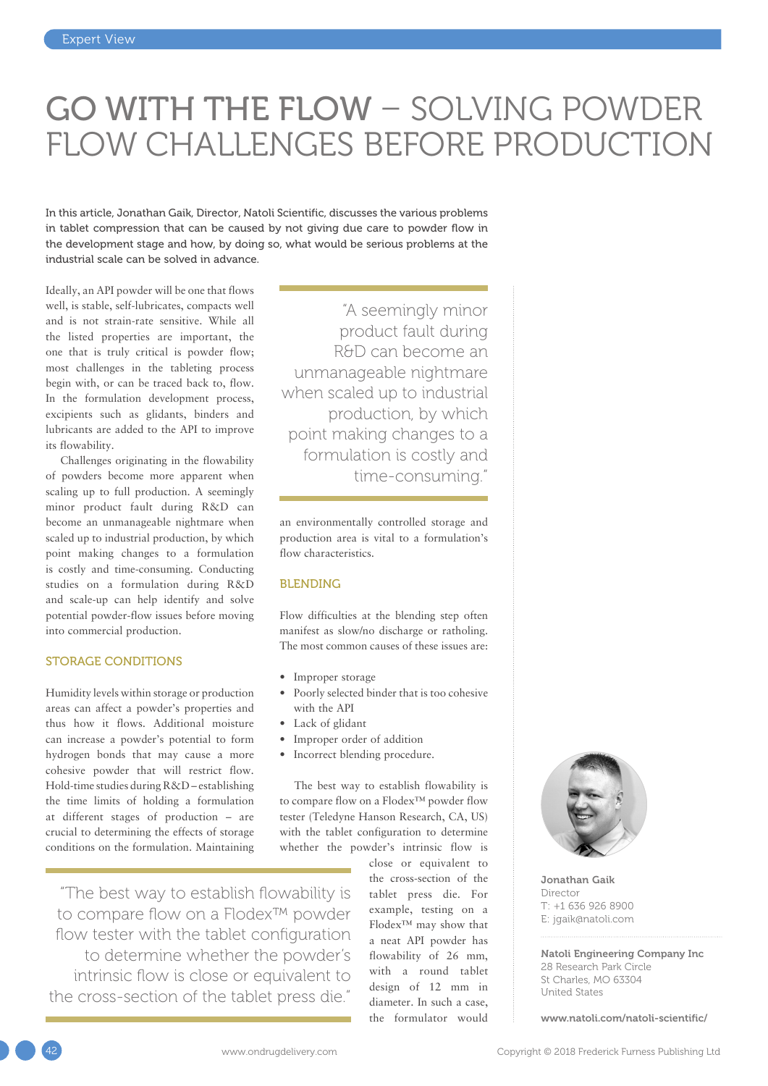## GO WITH THE FLOW – SOLVING POWDER FLOW CHALLENGES BEFORE PRODUCTION

In this article, Jonathan Gaik, Director, Natoli Scientific, discusses the various problems in tablet compression that can be caused by not giving due care to powder flow in the development stage and how, by doing so, what would be serious problems at the industrial scale can be solved in advance.

Ideally, an API powder will be one that flows well, is stable, self-lubricates, compacts well and is not strain-rate sensitive. While all the listed properties are important, the one that is truly critical is powder flow; most challenges in the tableting process begin with, or can be traced back to, flow. In the formulation development process, excipients such as glidants, binders and lubricants are added to the API to improve its flowability.

Challenges originating in the flowability of powders become more apparent when scaling up to full production. A seemingly minor product fault during R&D can become an unmanageable nightmare when scaled up to industrial production, by which point making changes to a formulation is costly and time-consuming. Conducting studies on a formulation during R&D and scale-up can help identify and solve potential powder-flow issues before moving into commercial production.

#### STORAGE CONDITIONS

Humidity levels within storage or production areas can affect a powder's properties and thus how it flows. Additional moisture can increase a powder's potential to form hydrogen bonds that may cause a more cohesive powder that will restrict flow. Hold-time studies during R&D – establishing the time limits of holding a formulation at different stages of production – are crucial to determining the effects of storage conditions on the formulation. Maintaining

"The best way to establish flowability is to compare flow on a Flodex™ powder flow tester with the tablet configuration to determine whether the powder's intrinsic flow is close or equivalent to the cross-section of the tablet press die."

"A seemingly minor product fault during R&D can become an unmanageable nightmare when scaled up to industrial production, by which point making changes to a formulation is costly and time-consuming."

an environmentally controlled storage and production area is vital to a formulation's flow characteristics.

#### BLENDING

Flow difficulties at the blending step often manifest as slow/no discharge or ratholing. The most common causes of these issues are:

- Improper storage
- Poorly selected binder that is too cohesive with the API
- Lack of glidant
- Improper order of addition
- Incorrect blending procedure.

The best way to establish flowability is to compare flow on a Flodex™ powder flow tester (Teledyne Hanson Research, CA, US) with the tablet configuration to determine whether the powder's intrinsic flow is

> close or equivalent to the cross-section of the tablet press die. For example, testing on a Flodex™ may show that a neat API powder has flowability of 26 mm, with a round tablet design of 12 mm in diameter. In such a case, the formulator would



Jonathan Gaik Director T: +1 636 926 8900 E: [jgaik@natoli.com](mailto:jgaik@natoli.com)

Natoli Engineering Company Inc 28 Research Park Circle St Charles, MO 63304 United States

[www.natoli.com/natoli-scientific/](http://www.natoli.com/natoli-scientific/)

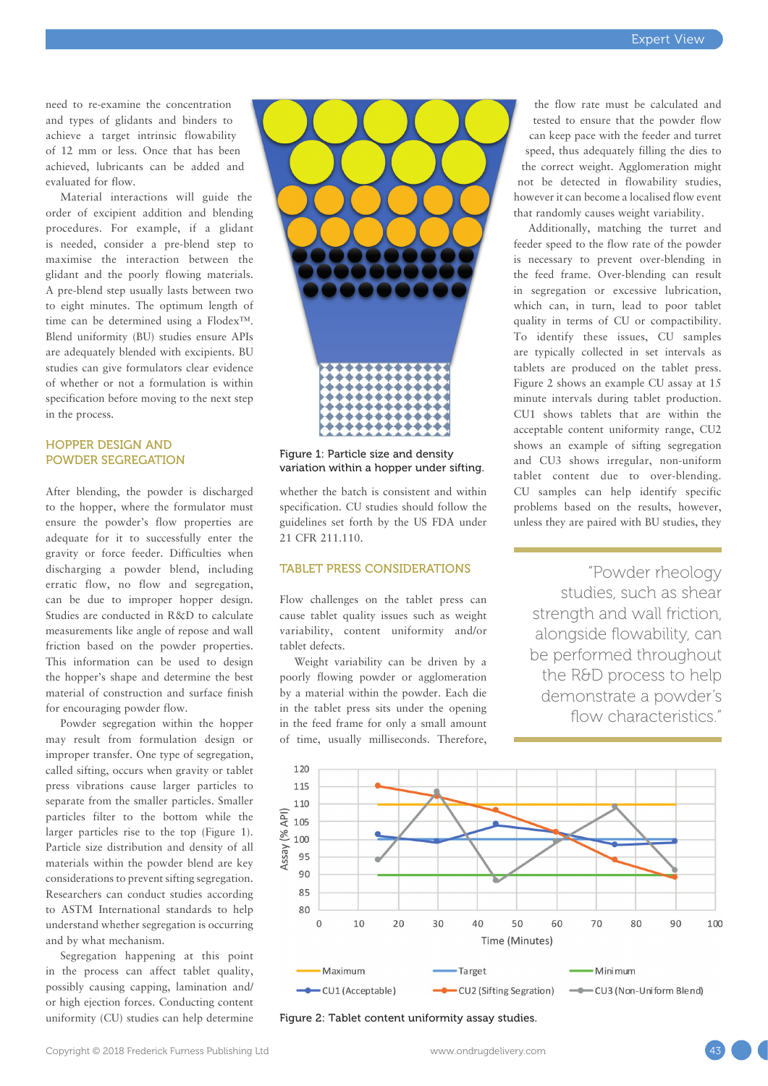need to re-examine the concentration and types of glidants and binders to achieve a target intrinsic flowability of 12 mm or less. Once that has been achieved, lubricants can be added and evaluated for flow.

Material interactions will guide the order of excipient addition and blending procedures. For example, if a glidant is needed, consider a pre-blend step to maximise the interaction between the glidant and the poorly flowing materials. A pre-blend step usually lasts between two to eight minutes. The optimum length of time can be determined using a Flodex™. Blend uniformity (BU) studies ensure APIs are adequately blended with excipients. BU studies can give formulators clear evidence of whether or not a formulation is within specification before moving to the next step in the process.

#### HOPPER DESIGN AND POWDER SEGREGATION

After blending, the powder is discharged to the hopper, where the formulator must ensure the powder's flow properties are adequate for it to successfully enter the gravity or force feeder. Difficulties when discharging a powder blend, including erratic flow, no flow and segregation, can be due to improper hopper design. Studies are conducted in R&D to calculate measurements like angle of repose and wall friction based on the powder properties. This information can be used to design the hopper's shape and determine the best material of construction and surface finish for encouraging powder flow.

Powder segregation within the hopper may result from formulation design or improper transfer. One type of segregation, called sifting, occurs when gravity or tablet press vibrations cause larger particles to separate from the smaller particles. Smaller particles filter to the bottom while the larger particles rise to the top (Figure 1). Particle size distribution and density of all materials within the powder blend are key considerations to prevent sifting segregation. Researchers can conduct studies according to ASTM International standards to help understand whether segregation is occurring and by what mechanism.

Segregation happening at this point in the process can affect tablet quality, possibly causing capping, lamination and/ or high ejection forces. Conducting content uniformity (CU) studies can help determine



#### Figure 1: Particle size and density variation within a hopper under sifting.

whether the batch is consistent and within specification. CU studies should follow the guidelines set forth by the US FDA under 21 CFR 211.110.

#### TABLET PRESS CONSIDERATIONS

Flow challenges on the tablet press can cause tablet quality issues such as weight variability, content uniformity and/or tablet defects.

Weight variability can be driven by a poorly flowing powder or agglomeration by a material within the powder. Each die in the tablet press sits under the opening in the feed frame for only a small amount of time, usually milliseconds. Therefore,

the flow rate must be calculated and tested to ensure that the powder flow can keep pace with the feeder and turret speed, thus adequately filling the dies to the correct weight. Agglomeration might not be detected in flowability studies, however it can become a localised flow event that randomly causes weight variability.

Additionally, matching the turret and feeder speed to the flow rate of the powder is necessary to prevent over-blending in the feed frame. Over-blending can result in segregation or excessive lubrication, which can, in turn, lead to poor tablet quality in terms of CU or compactibility. To identify these issues, CU samples are typically collected in set intervals as tablets are produced on the tablet press. Figure 2 shows an example CU assay at 15 minute intervals during tablet production. CU1 shows tablets that are within the acceptable content uniformity range, CU2 shows an example of sifting segregation and CU3 shows irregular, non-uniform tablet content due to over-blending. CU samples can help identify specific problems based on the results, however, unless they are paired with BU studies, they

"Powder rheology studies, such as shear strength and wall friction, alongside flowability, can be performed throughout the R&D process to help demonstrate a powder's flow characteristics."



Figure 2: Tablet content uniformity assay studies.